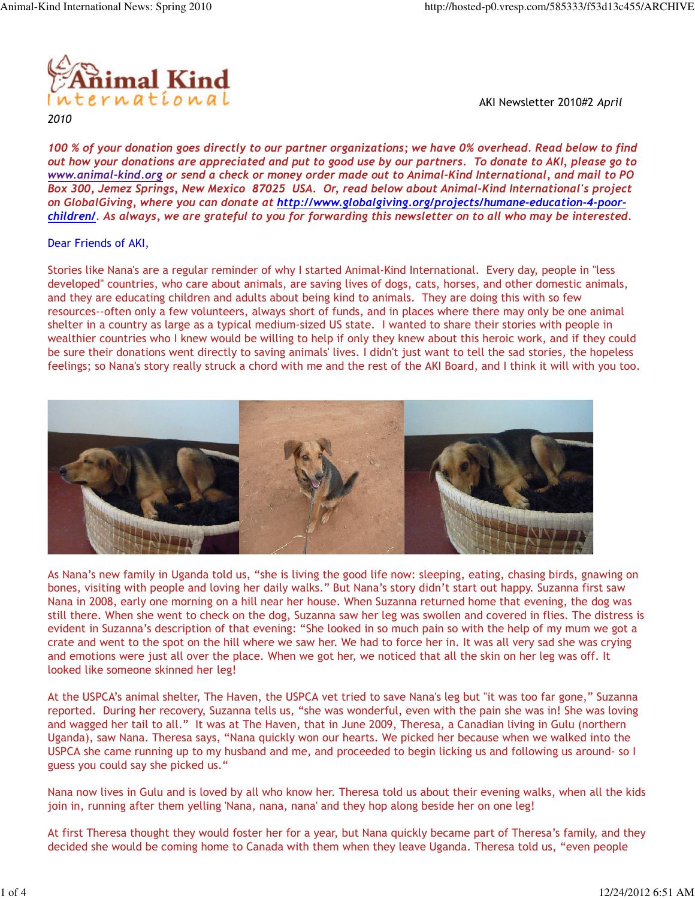

2010

AKI Newsletter 2010#2 April

100 % of your donation goes directly to our partner organizations; we have 0% overhead. Read below to find out how your donations are appreciated and put to good use by our partners. To donate to AKI, please go to www.animal-kind.org or send a check or money order made out to Animal-Kind International, and mail to PO Box 300, Jemez Springs, New Mexico 87025 USA. Or, read below about Animal-Kind International's project on GlobalGiving, where you can donate at http://www.globalgiving.org/projects/humane-education-4-poorchildren/. As always, we are grateful to you for forwarding this newsletter on to all who may be interested.

#### Dear Friends of AKI,

Stories like Nana's are a regular reminder of why I started Animal-Kind International. Every day, people in "less developed" countries, who care about animals, are saving lives of dogs, cats, horses, and other domestic animals, and they are educating children and adults about being kind to animals. They are doing this with so few resources--often only a few volunteers, always short of funds, and in places where there may only be one animal shelter in a country as large as a typical medium-sized US state. I wanted to share their stories with people in wealthier countries who I knew would be willing to help if only they knew about this heroic work, and if they could be sure their donations went directly to saving animals' lives. I didn't just want to tell the sad stories, the hopeless feelings; so Nana's story really struck a chord with me and the rest of the AKI Board, and I think it will with you too.



As Nana's new family in Uganda told us, "she is living the good life now: sleeping, eating, chasing birds, gnawing on bones, visiting with people and loving her daily walks." But Nana's story didn't start out happy. Suzanna first saw Nana in 2008, early one morning on a hill near her house. When Suzanna returned home that evening, the dog was still there. When she went to check on the dog, Suzanna saw her leg was swollen and covered in flies. The distress is evident in Suzanna's description of that evening: "She looked in so much pain so with the help of my mum we got a crate and went to the spot on the hill where we saw her. We had to force her in. It was all very sad she was crying and emotions were just all over the place. When we got her, we noticed that all the skin on her leg was off. It looked like someone skinned her leg!

At the USPCA's animal shelter, The Haven, the USPCA vet tried to save Nana's leg but "it was too far gone," Suzanna reported. During her recovery, Suzanna tells us, "she was wonderful, even with the pain she was in! She was loving and wagged her tail to all." It was at The Haven, that in June 2009, Theresa, a Canadian living in Gulu (northern Uganda), saw Nana. Theresa says, "Nana quickly won our hearts. We picked her because when we walked into the USPCA she came running up to my husband and me, and proceeded to begin licking us and following us around- so I guess you could say she picked us."

Nana now lives in Gulu and is loved by all who know her. Theresa told us about their evening walks, when all the kids join in, running after them yelling 'Nana, nana, nana' and they hop along beside her on one leg!

At first Theresa thought they would foster her for a year, but Nana quickly became part of Theresa's family, and they decided she would be coming home to Canada with them when they leave Uganda. Theresa told us, "even people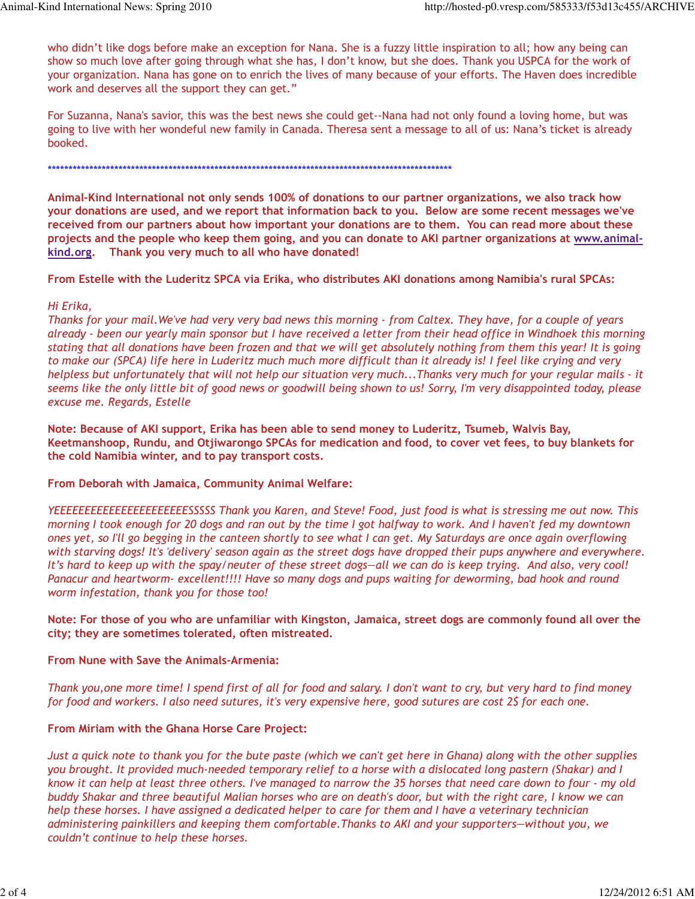who didn't like dogs before make an exception for Nana. She is a fuzzy little inspiration to all; how any being can show so much love after going through what she has, I don't know, but she does. Thank you USPCA for the work of your organization. Nana has gone on to enrich the lives of many because of your efforts. The Haven does incredible work and deserves all the support they can get."

For Suzanna, Nana's savior, this was the best news she could get--Nana had not only found a loving home, but was going to live with her wondeful new family in Canada. Theresa sent a message to all of us: Nana's ticket is already booked.

\*\*\*\*\*\*\*\*\*\*\*\*\*\*\*\*\*\*\*\*\*\*\*\*\*\*\*\*\*\*\*\*\*\*\*\*\*\*\*\*\*\*\*\*\*\*\*\*\*\*\*\*\*\*\*\*\*\*\*\*\*\*\*\*\*\*\*\*\*\*\*\*\*\*\*\*\*\*\*\*\*\*\*\*\*\*\*\*\*\*\*\*\*\*\*\*\*

Animal-Kind International not only sends 100% of donations to our partner organizations, we also track how your donations are used, and we report that information back to you. Below are some recent messages we've received from our partners about how important your donations are to them. You can read more about these projects and the people who keep them going, and you can donate to AKI partner organizations at www.animalkind.org. Thank you very much to all who have donated!

From Estelle with the Luderitz SPCA via Erika, who distributes AKI donations among Namibia's rural SPCAs:

## Hi Erika,

Thanks for your mail.We've had very very bad news this morning - from Caltex. They have, for a couple of years already - been our yearly main sponsor but I have received a letter from their head office in Windhoek this morning stating that all donations have been frozen and that we will get absolutely nothing from them this year! It is going to make our (SPCA) life here in Luderitz much much more difficult than it already is! I feel like crying and very helpless but unfortunately that will not help our situation very much...Thanks very much for your regular mails - it seems like the only little bit of good news or goodwill being shown to us! Sorry, I'm very disappointed today, please excuse me. Regards, Estelle

Note: Because of AKI support, Erika has been able to send money to Luderitz, Tsumeb, Walvis Bay, Keetmanshoop, Rundu, and Otjiwarongo SPCAs for medication and food, to cover vet fees, to buy blankets for the cold Namibia winter, and to pay transport costs.

From Deborah with Jamaica, Community Animal Welfare:

YEEEEEEEEEEEEEEEEEEEEEESSSSS Thank you Karen, and Steve! Food, just food is what is stressing me out now. This morning I took enough for 20 dogs and ran out by the time I got halfway to work. And I haven't fed my downtown ones yet, so I'll go begging in the canteen shortly to see what I can get. My Saturdays are once again overflowing with starving dogs! It's 'delivery' season again as the street dogs have dropped their pups anywhere and everywhere. It's hard to keep up with the spay/neuter of these street dogs—all we can do is keep trying. And also, very cool! Panacur and heartworm- excellent!!!! Have so many dogs and pups waiting for deworming, bad hook and round worm infestation, thank you for those too!

Note: For those of you who are unfamiliar with Kingston, Jamaica, street dogs are commonly found all over the city; they are sometimes tolerated, often mistreated.

## From Nune with Save the Animals-Armenia:

Thank you,one more time! I spend first of all for food and salary. I don't want to cry, but very hard to find money for food and workers. I also need sutures, it's very expensive here, good sutures are cost 2\$ for each one.

## From Miriam with the Ghana Horse Care Project:

Just a quick note to thank you for the bute paste (which we can't get here in Ghana) along with the other supplies you brought. It provided much-needed temporary relief to a horse with a dislocated long pastern (Shakar) and I know it can help at least three others. I've managed to narrow the 35 horses that need care down to four - my old buddy Shakar and three beautiful Malian horses who are on death's door, but with the right care, I know we can help these horses. I have assigned a dedicated helper to care for them and I have a veterinary technician administering painkillers and keeping them comfortable.Thanks to AKI and your supporters—without you, we couldn't continue to help these horses.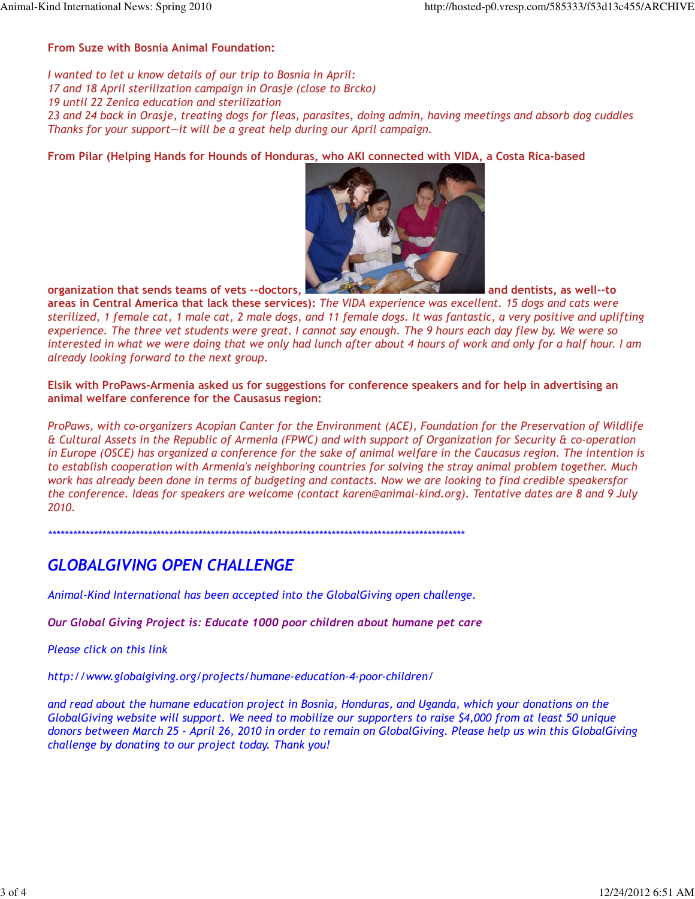#### From Suze with Bosnia Animal Foundation:

I wanted to let u know details of our trip to Bosnia in April: 17 and 18 April sterilization campaign in Orasje (close to Brcko) 19 until 22 Zenica education and sterilization 23 and 24 back in Orasje, treating dogs for fleas, parasites, doing admin, having meetings and absorb dog cuddles Thanks for your support—it will be a great help during our April campaign.

From Pilar (Helping Hands for Hounds of Honduras, who AKI connected with VIDA, a Costa Rica-based



organization that sends teams of vets --doctors, and dentists, as well--to

areas in Central America that lack these services): The VIDA experience was excellent. 15 dogs and cats were sterilized, 1 female cat, 1 male cat, 2 male dogs, and 11 female dogs. It was fantastic, a very positive and uplifting experience. The three vet students were great. I cannot say enough. The 9 hours each day flew by. We were so interested in what we were doing that we only had lunch after about 4 hours of work and only for a half hour. I am already looking forward to the next group.

Elsik with ProPaws-Armenia asked us for suggestions for conference speakers and for help in advertising an animal welfare conference for the Causasus region:

ProPaws, with co-organizers Acopian Canter for the Environment (ACE), Foundation for the Preservation of Wildlife & Cultural Assets in the Republic of Armenia (FPWC) and with support of Organization for Security & co-operation in Europe (OSCE) has organized a conference for the sake of animal welfare in the Caucasus region. The intention is to establish cooperation with Armenia's neighboring countries for solving the stray animal problem together. Much work has already been done in terms of budgeting and contacts. Now we are looking to find credible speakersfor the conference. Ideas for speakers are welcome (contact karen@animal-kind.org). Tentative dates are 8 and 9 July 2010.

\*\*\*\*\*\*\*\*\*\*\*\*\*\*\*\*\*\*\*\*\*\*\*\*\*\*\*\*\*\*\*\*\*\*\*\*\*\*\*\*\*\*\*\*\*\*\*\*\*\*\*\*\*\*\*\*\*\*\*\*\*\*\*\*\*\*\*\*\*\*\*\*\*\*\*\*\*\*\*\*\*\*\*\*\*\*\*\*\*\*\*\*\*\*\*\*\*\*\*\*

# GLOBALGIVING OPEN CHALLENGE

Animal-Kind International has been accepted into the GlobalGiving open challenge.

Our Global Giving Project is: Educate 1000 poor children about humane pet care

Please click on this link

http://www.globalgiving.org/projects/humane-education-4-poor-children/

and read about the humane education project in Bosnia, Honduras, and Uganda, which your donations on the GlobalGiving website will support. We need to mobilize our supporters to raise \$4,000 from at least 50 unique donors between March 25 - April 26, 2010 in order to remain on GlobalGiving. Please help us win this GlobalGiving challenge by donating to our project today. Thank you!